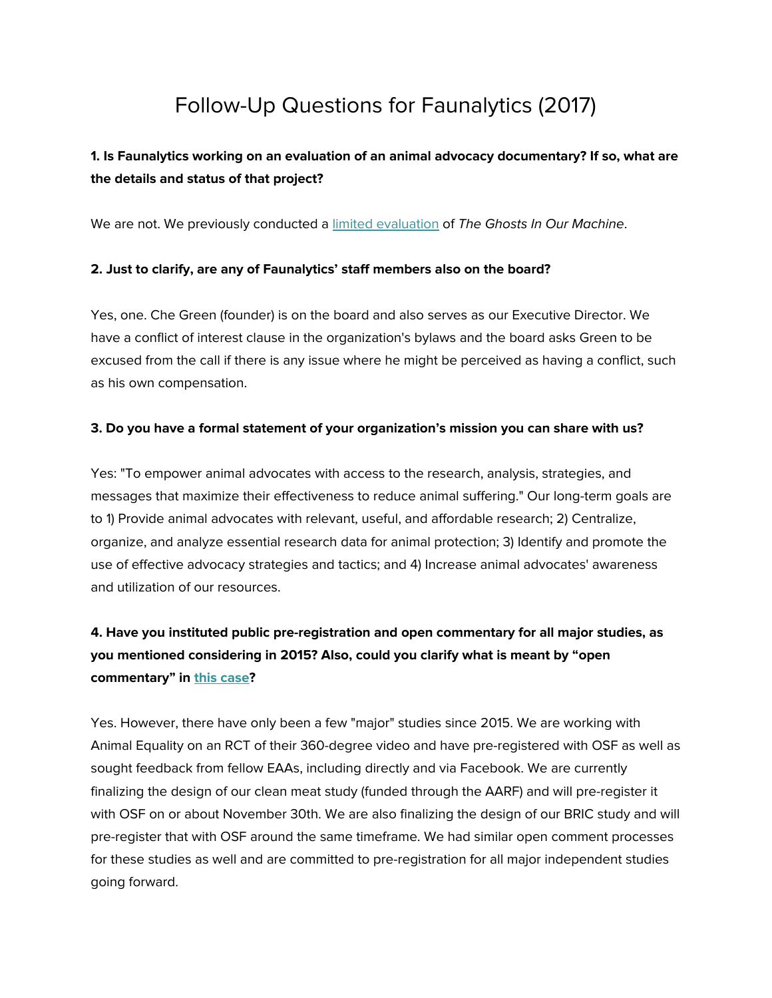# Follow-Up Questions for Faunalytics (2017)

### **1. Is Faunalytics working on an evaluation of an animal advocacy documentary? If so, what are the details and status of that project?**

We are not. We previously conducted a limited [evaluation](https://faunalytics.org/feature-article/the-ghosts-in-our-machine-impact-report-digs-deep-into-the-power-of-images-to-change-the-world-for-animals/) of The Ghosts In Our Machine.

#### **2. Just to clarify, are any of Faunalytics' staff members also on the board?**

Yes, one. Che Green (founder) is on the board and also serves as our Executive Director. We have a conflict of interest clause in the organization's bylaws and the board asks Green to be excused from the call if there is any issue where he might be perceived as having a conflict, such as his own compensation.

#### **3. Do you have a formal statement of your organization's mission you can share with us?**

Yes: "To empower animal advocates with access to the research, analysis, strategies, and messages that maximize their effectiveness to reduce animal suffering." Our long-term goals are to 1) Provide animal advocates with relevant, useful, and affordable research; 2) Centralize, organize, and analyze essential research data for animal protection; 3) Identify and promote the use of effective advocacy strategies and tactics; and 4) Increase animal advocates' awareness and utilization of our resources.

## **4. Have you instituted public pre-registration and open commentary for all major studies, as you mentioned considering in 2015? Also, could you clarify what is meant by "open commentary" in this [case](https://animalcharityevaluators.org/charity-reviews/charity-conversations/che-green/)?**

Yes. However, there have only been a few "major" studies since 2015. We are working with Animal Equality on an RCT of their 360-degree video and have pre-registered with OSF as well as sought feedback from fellow EAAs, including directly and via Facebook. We are currently finalizing the design of our clean meat study (funded through the AARF) and will pre-register it with OSF on or about November 30th. We are also finalizing the design of our BRIC study and will pre-register that with OSF around the same timeframe. We had similar open comment processes for these studies as well and are committed to pre-registration for all major independent studies going forward.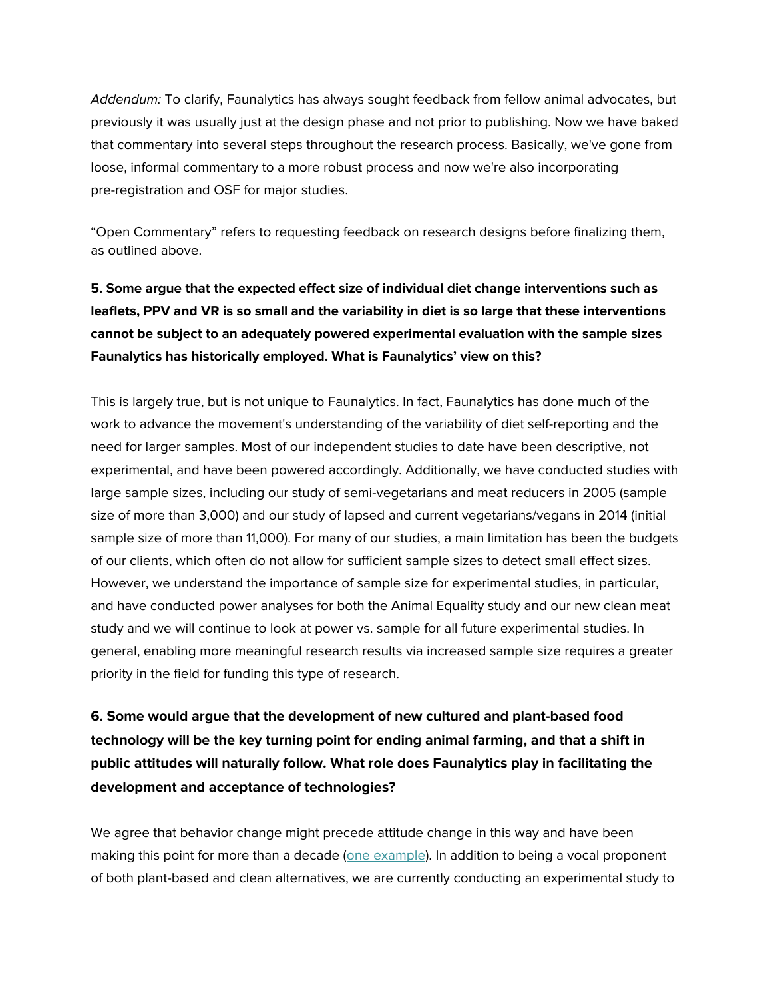Addendum: To clarify, Faunalytics has always sought feedback from fellow animal advocates, but previously it was usually just at the design phase and not prior to publishing. Now we have baked that commentary into several steps throughout the research process. Basically, we've gone from loose, informal commentary to a more robust process and now we're also incorporating pre-registration and OSF for major studies.

"Open Commentary" refers to requesting feedback on research designs before finalizing them, as outlined above.

# **5. Some argue that the expected effect size of individual diet change interventions such as leaflets, PPV and VR is so small and the variability in diet is so large that these interventions cannot be subject to an adequately powered experimental evaluation with the sample sizes Faunalytics has historically employed. What is Faunalytics' view on this?**

This is largely true, but is not unique to Faunalytics. In fact, Faunalytics has done much of the work to advance the movement's understanding of the variability of diet self-reporting and the need for larger samples. Most of our independent studies to date have been descriptive, not experimental, and have been powered accordingly. Additionally, we have conducted studies with large sample sizes, including our study of semi-vegetarians and meat reducers in 2005 (sample size of more than 3,000) and our study of lapsed and current vegetarians/vegans in 2014 (initial sample size of more than 11,000). For many of our studies, a main limitation has been the budgets of our clients, which often do not allow for sufficient sample sizes to detect small effect sizes. However, we understand the importance of sample size for experimental studies, in particular, and have conducted power analyses for both the Animal Equality study and our new clean meat study and we will continue to look at power vs. sample for all future experimental studies. In general, enabling more meaningful research results via increased sample size requires a greater priority in the field for funding this type of research.

**6. Some would argue that the development of new cultured and plant-based food technology will be the key turning point for ending animal farming, and that a shift in public attitudes will naturally follow. What role does Faunalytics play in facilitating the development and acceptance of technologies?**

We agree that behavior change might precede attitude change in this way and have been making this point for more than a decade (one [example\)](https://faunalytics.org/how-to-end-98-of-animal-abuse-in-the-next-25-years/). In addition to being a vocal proponent of both plant-based and clean alternatives, we are currently conducting an experimental study to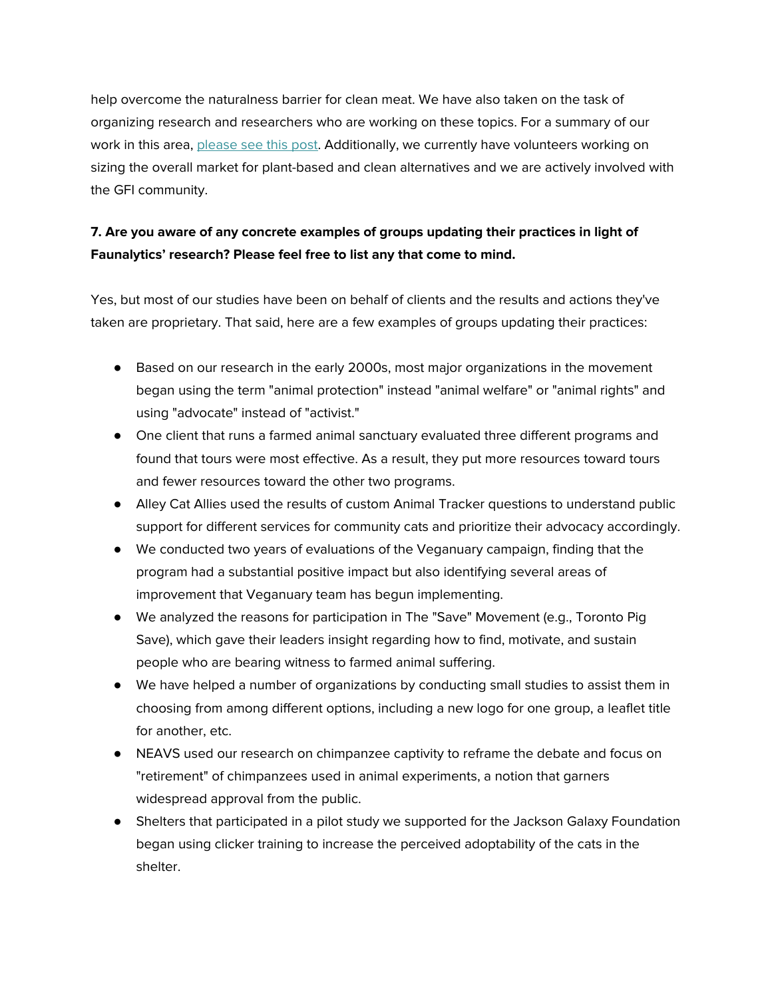help overcome the naturalness barrier for clean meat. We have also taken on the task of organizing research and researchers who are working on these topics. For a summary of our work in this area, [please](https://faunalytics.org/social-science-and-the-future-of-food/) see this post. Additionally, we currently have volunteers working on sizing the overall market for plant-based and clean alternatives and we are actively involved with the GFI community.

### **7. Are you aware of any concrete examples of groups updating their practices in light of Faunalytics' research? Please feel free to list any that come to mind.**

Yes, but most of our studies have been on behalf of clients and the results and actions they've taken are proprietary. That said, here are a few examples of groups updating their practices:

- Based on our research in the early 2000s, most major organizations in the movement began using the term "animal protection" instead "animal welfare" or "animal rights" and using "advocate" instead of "activist."
- One client that runs a farmed animal sanctuary evaluated three different programs and found that tours were most effective. As a result, they put more resources toward tours and fewer resources toward the other two programs.
- Alley Cat Allies used the results of custom Animal Tracker questions to understand public support for different services for community cats and prioritize their advocacy accordingly.
- We conducted two years of evaluations of the Veganuary campaign, finding that the program had a substantial positive impact but also identifying several areas of improvement that Veganuary team has begun implementing.
- We analyzed the reasons for participation in The "Save" Movement (e.g., Toronto Pig Save), which gave their leaders insight regarding how to find, motivate, and sustain people who are bearing witness to farmed animal suffering.
- We have helped a number of organizations by conducting small studies to assist them in choosing from among different options, including a new logo for one group, a leaflet title for another, etc.
- NEAVS used our research on chimpanzee captivity to reframe the debate and focus on "retirement" of chimpanzees used in animal experiments, a notion that garners widespread approval from the public.
- Shelters that participated in a pilot study we supported for the Jackson Galaxy Foundation began using clicker training to increase the perceived adoptability of the cats in the shelter.